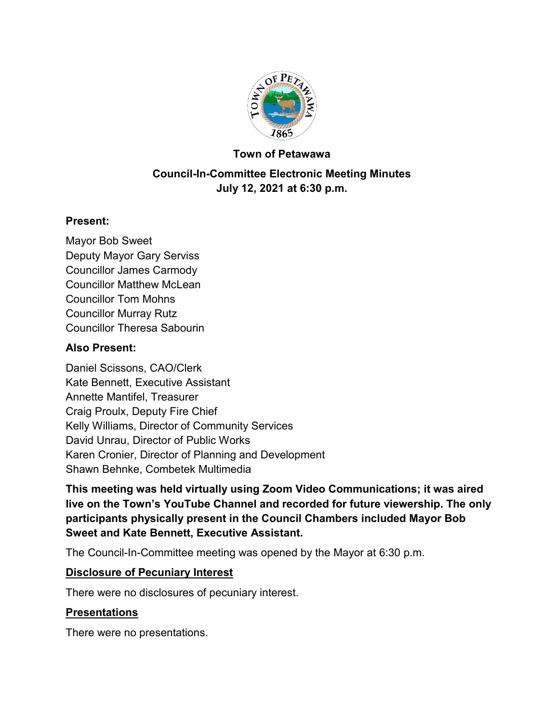

#### **Town of Petawawa**

# **Council-In-Committee Electronic Meeting Minutes July 12, 2021 at 6:30 p.m.**

#### **Present:**

Mayor Bob Sweet Deputy Mayor Gary Serviss Councillor James Carmody Councillor Matthew McLean Councillor Tom Mohns Councillor Murray Rutz Councillor Theresa Sabourin

#### **Also Present:**

Daniel Scissons, CAO/Clerk Kate Bennett, Executive Assistant Annette Mantifel, Treasurer Craig Proulx, Deputy Fire Chief Kelly Williams, Director of Community Services David Unrau, Director of Public Works Karen Cronier, Director of Planning and Development Shawn Behnke, Combetek Multimedia

**This meeting was held virtually using Zoom Video Communications; it was aired live on the Town's YouTube Channel and recorded for future viewership. The only participants physically present in the Council Chambers included Mayor Bob Sweet and Kate Bennett, Executive Assistant.**

The Council-In-Committee meeting was opened by the Mayor at 6:30 p.m.

#### **Disclosure of Pecuniary Interest**

There were no disclosures of pecuniary interest.

### **Presentations**

There were no presentations.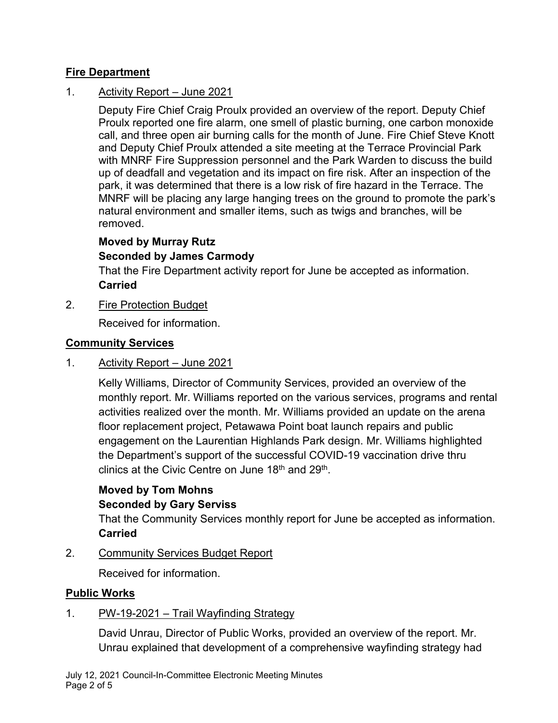# **Fire Department**

# 1. Activity Report – June 2021

Deputy Fire Chief Craig Proulx provided an overview of the report. Deputy Chief Proulx reported one fire alarm, one smell of plastic burning, one carbon monoxide call, and three open air burning calls for the month of June. Fire Chief Steve Knott and Deputy Chief Proulx attended a site meeting at the Terrace Provincial Park with MNRF Fire Suppression personnel and the Park Warden to discuss the build up of deadfall and vegetation and its impact on fire risk. After an inspection of the park, it was determined that there is a low risk of fire hazard in the Terrace. The MNRF will be placing any large hanging trees on the ground to promote the park's natural environment and smaller items, such as twigs and branches, will be removed.

# **Moved by Murray Rutz**

# **Seconded by James Carmody**

That the Fire Department activity report for June be accepted as information. **Carried**

2. Fire Protection Budget

Received for information.

### **Community Services**

### 1. Activity Report – June 2021

Kelly Williams, Director of Community Services, provided an overview of the monthly report. Mr. Williams reported on the various services, programs and rental activities realized over the month. Mr. Williams provided an update on the arena floor replacement project, Petawawa Point boat launch repairs and public engagement on the Laurentian Highlands Park design. Mr. Williams highlighted the Department's support of the successful COVID-19 vaccination drive thru clinics at the Civic Centre on June 18<sup>th</sup> and 29<sup>th</sup>.

### **Moved by Tom Mohns Seconded by Gary Serviss**

That the Community Services monthly report for June be accepted as information. **Carried**

2. Community Services Budget Report

Received for information.

### **Public Works**

# 1. PW-19-2021 – Trail Wayfinding Strategy

David Unrau, Director of Public Works, provided an overview of the report. Mr. Unrau explained that development of a comprehensive wayfinding strategy had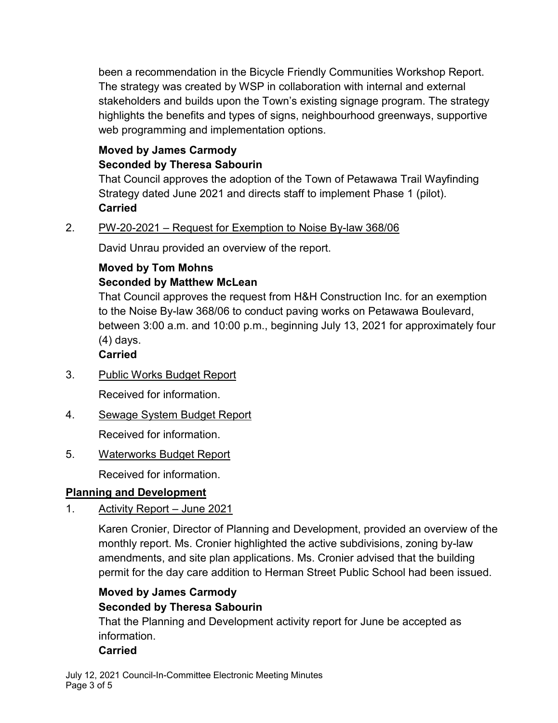been a recommendation in the Bicycle Friendly Communities Workshop Report. The strategy was created by WSP in collaboration with internal and external stakeholders and builds upon the Town's existing signage program. The strategy highlights the benefits and types of signs, neighbourhood greenways, supportive web programming and implementation options.

# **Moved by James Carmody Seconded by Theresa Sabourin**

That Council approves the adoption of the Town of Petawawa Trail Wayfinding Strategy dated June 2021 and directs staff to implement Phase 1 (pilot). **Carried**

2. PW-20-2021 – Request for Exemption to Noise By-law 368/06

David Unrau provided an overview of the report.

# **Moved by Tom Mohns Seconded by Matthew McLean**

That Council approves the request from H&H Construction Inc. for an exemption to the Noise By-law 368/06 to conduct paving works on Petawawa Boulevard, between 3:00 a.m. and 10:00 p.m., beginning July 13, 2021 for approximately four (4) days.

# **Carried**

3. Public Works Budget Report

Received for information.

- 4. Sewage System Budget Report Received for information.
- 5. Waterworks Budget Report

Received for information.

# **Planning and Development**

1. Activity Report – June 2021

Karen Cronier, Director of Planning and Development, provided an overview of the monthly report. Ms. Cronier highlighted the active subdivisions, zoning by-law amendments, and site plan applications. Ms. Cronier advised that the building permit for the day care addition to Herman Street Public School had been issued.

# **Moved by James Carmody Seconded by Theresa Sabourin**

That the Planning and Development activity report for June be accepted as information.

# **Carried**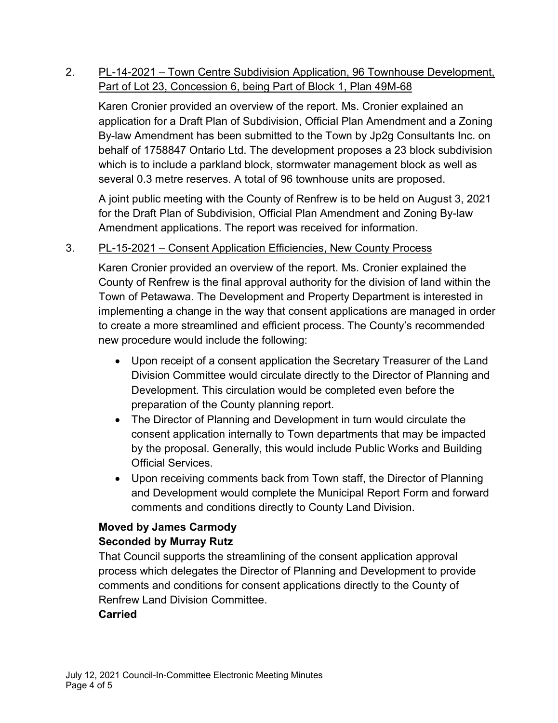# 2. PL-14-2021 – Town Centre Subdivision Application, 96 Townhouse Development, Part of Lot 23, Concession 6, being Part of Block 1, Plan 49M-68

Karen Cronier provided an overview of the report. Ms. Cronier explained an application for a Draft Plan of Subdivision, Official Plan Amendment and a Zoning By-law Amendment has been submitted to the Town by Jp2g Consultants Inc. on behalf of 1758847 Ontario Ltd. The development proposes a 23 block subdivision which is to include a parkland block, stormwater management block as well as several 0.3 metre reserves. A total of 96 townhouse units are proposed.

A joint public meeting with the County of Renfrew is to be held on August 3, 2021 for the Draft Plan of Subdivision, Official Plan Amendment and Zoning By-law Amendment applications. The report was received for information.

# 3. PL-15-2021 – Consent Application Efficiencies, New County Process

Karen Cronier provided an overview of the report. Ms. Cronier explained the County of Renfrew is the final approval authority for the division of land within the Town of Petawawa. The Development and Property Department is interested in implementing a change in the way that consent applications are managed in order to create a more streamlined and efficient process. The County's recommended new procedure would include the following:

- · Upon receipt of a consent application the Secretary Treasurer of the Land Division Committee would circulate directly to the Director of Planning and Development. This circulation would be completed even before the preparation of the County planning report.
- · The Director of Planning and Development in turn would circulate the consent application internally to Town departments that may be impacted by the proposal. Generally, this would include Public Works and Building Official Services.
- · Upon receiving comments back from Town staff, the Director of Planning and Development would complete the Municipal Report Form and forward comments and conditions directly to County Land Division.

# **Moved by James Carmody Seconded by Murray Rutz**

That Council supports the streamlining of the consent application approval process which delegates the Director of Planning and Development to provide comments and conditions for consent applications directly to the County of Renfrew Land Division Committee.

# **Carried**